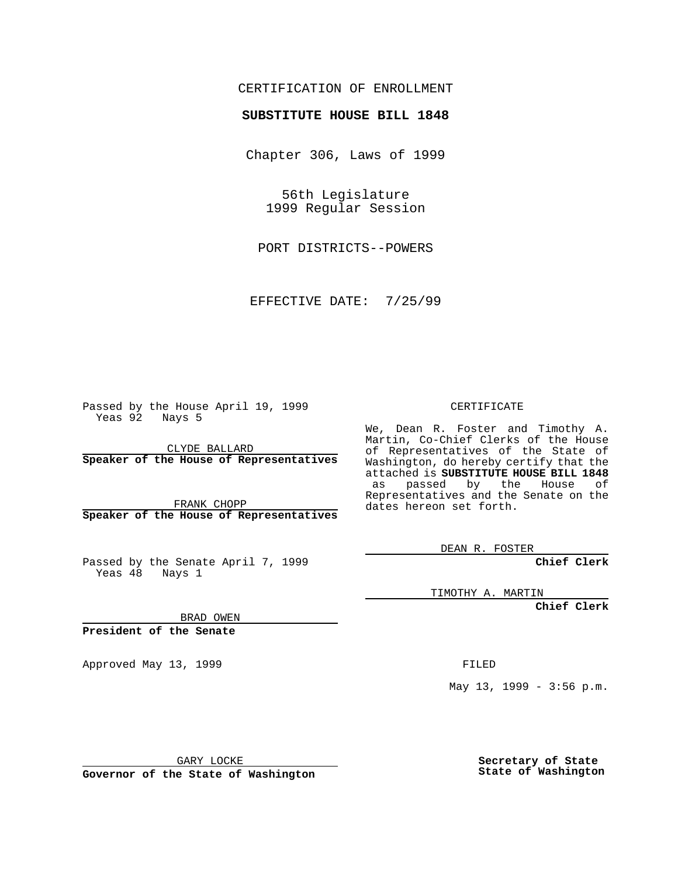#### CERTIFICATION OF ENROLLMENT

# **SUBSTITUTE HOUSE BILL 1848**

Chapter 306, Laws of 1999

56th Legislature 1999 Regular Session

PORT DISTRICTS--POWERS

EFFECTIVE DATE: 7/25/99

Passed by the House April 19, 1999 Yeas 92 Nays 5

CLYDE BALLARD **Speaker of the House of Representatives**

FRANK CHOPP **Speaker of the House of Representatives**

Passed by the Senate April 7, 1999 Yeas 48 Nays 1

CERTIFICATE

We, Dean R. Foster and Timothy A. Martin, Co-Chief Clerks of the House of Representatives of the State of Washington, do hereby certify that the attached is **SUBSTITUTE HOUSE BILL 1848** as passed by the House of Representatives and the Senate on the dates hereon set forth.

DEAN R. FOSTER

**Chief Clerk**

TIMOTHY A. MARTIN

**Chief Clerk**

BRAD OWEN

**President of the Senate**

Approved May 13, 1999 FILED

May 13, 1999 - 3:56 p.m.

GARY LOCKE

**Governor of the State of Washington**

**Secretary of State State of Washington**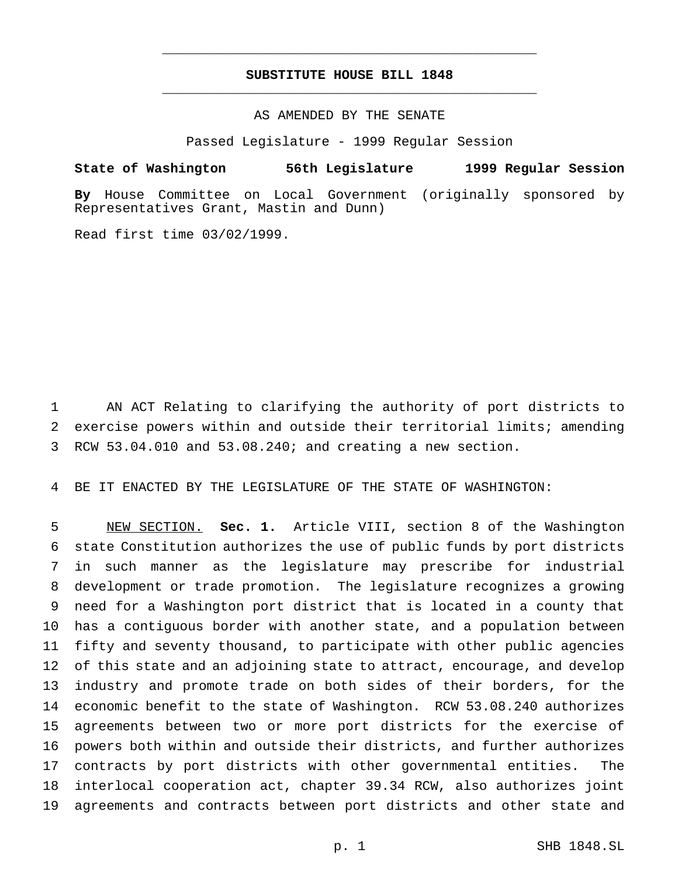## **SUBSTITUTE HOUSE BILL 1848** \_\_\_\_\_\_\_\_\_\_\_\_\_\_\_\_\_\_\_\_\_\_\_\_\_\_\_\_\_\_\_\_\_\_\_\_\_\_\_\_\_\_\_\_\_\_\_

\_\_\_\_\_\_\_\_\_\_\_\_\_\_\_\_\_\_\_\_\_\_\_\_\_\_\_\_\_\_\_\_\_\_\_\_\_\_\_\_\_\_\_\_\_\_\_

## AS AMENDED BY THE SENATE

Passed Legislature - 1999 Regular Session

#### **State of Washington 56th Legislature 1999 Regular Session**

**By** House Committee on Local Government (originally sponsored by Representatives Grant, Mastin and Dunn)

Read first time 03/02/1999.

 AN ACT Relating to clarifying the authority of port districts to exercise powers within and outside their territorial limits; amending RCW 53.04.010 and 53.08.240; and creating a new section.

BE IT ENACTED BY THE LEGISLATURE OF THE STATE OF WASHINGTON:

 NEW SECTION. **Sec. 1.** Article VIII, section 8 of the Washington state Constitution authorizes the use of public funds by port districts in such manner as the legislature may prescribe for industrial development or trade promotion. The legislature recognizes a growing need for a Washington port district that is located in a county that has a contiguous border with another state, and a population between fifty and seventy thousand, to participate with other public agencies of this state and an adjoining state to attract, encourage, and develop industry and promote trade on both sides of their borders, for the economic benefit to the state of Washington. RCW 53.08.240 authorizes agreements between two or more port districts for the exercise of powers both within and outside their districts, and further authorizes contracts by port districts with other governmental entities. The interlocal cooperation act, chapter 39.34 RCW, also authorizes joint agreements and contracts between port districts and other state and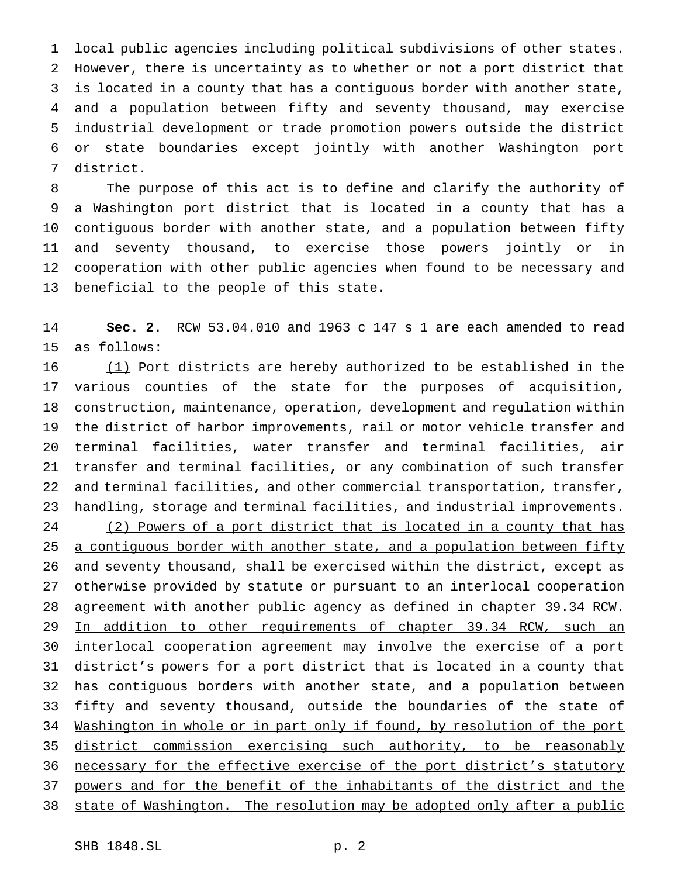local public agencies including political subdivisions of other states. However, there is uncertainty as to whether or not a port district that is located in a county that has a contiguous border with another state, and a population between fifty and seventy thousand, may exercise industrial development or trade promotion powers outside the district or state boundaries except jointly with another Washington port district.

 The purpose of this act is to define and clarify the authority of a Washington port district that is located in a county that has a contiguous border with another state, and a population between fifty and seventy thousand, to exercise those powers jointly or in cooperation with other public agencies when found to be necessary and beneficial to the people of this state.

 **Sec. 2.** RCW 53.04.010 and 1963 c 147 s 1 are each amended to read as follows:

16 (1) Port districts are hereby authorized to be established in the various counties of the state for the purposes of acquisition, construction, maintenance, operation, development and regulation within the district of harbor improvements, rail or motor vehicle transfer and terminal facilities, water transfer and terminal facilities, air transfer and terminal facilities, or any combination of such transfer and terminal facilities, and other commercial transportation, transfer, handling, storage and terminal facilities, and industrial improvements. 24 (2) Powers of a port district that is located in a county that has 25 a contiguous border with another state, and a population between fifty and seventy thousand, shall be exercised within the district, except as otherwise provided by statute or pursuant to an interlocal cooperation agreement with another public agency as defined in chapter 39.34 RCW. 29 In addition to other requirements of chapter 39.34 RCW, such an interlocal cooperation agreement may involve the exercise of a port 31 district's powers for a port district that is located in a county that 32 has contiguous borders with another state, and a population between 33 fifty and seventy thousand, outside the boundaries of the state of Washington in whole or in part only if found, by resolution of the port 35 district commission exercising such authority, to be reasonably 36 necessary for the effective exercise of the port district's statutory powers and for the benefit of the inhabitants of the district and the state of Washington. The resolution may be adopted only after a public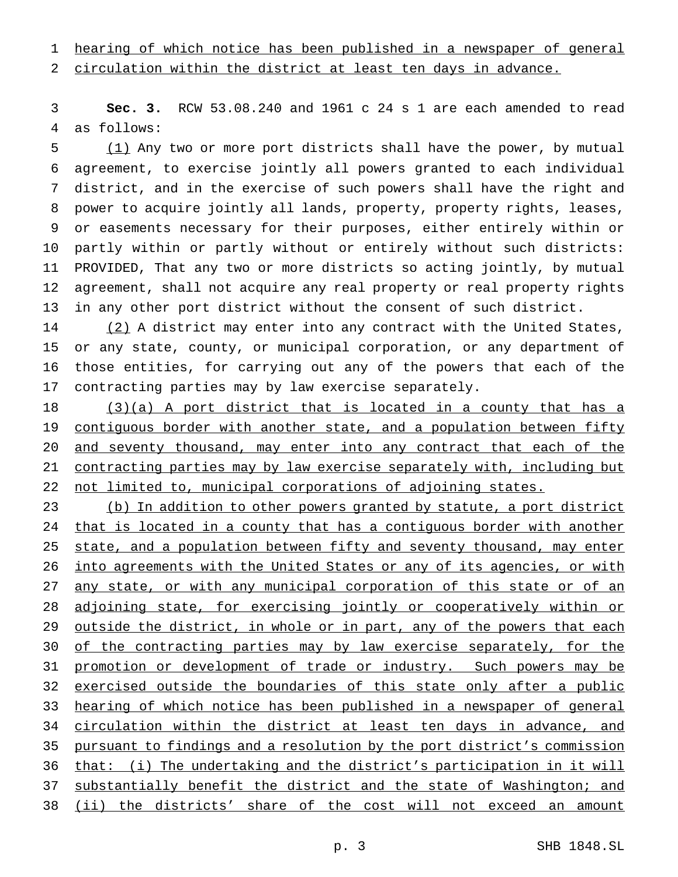hearing of which notice has been published in a newspaper of general

circulation within the district at least ten days in advance.

 **Sec. 3.** RCW 53.08.240 and 1961 c 24 s 1 are each amended to read as follows:

 (1) Any two or more port districts shall have the power, by mutual agreement, to exercise jointly all powers granted to each individual district, and in the exercise of such powers shall have the right and power to acquire jointly all lands, property, property rights, leases, or easements necessary for their purposes, either entirely within or partly within or partly without or entirely without such districts: PROVIDED, That any two or more districts so acting jointly, by mutual agreement, shall not acquire any real property or real property rights in any other port district without the consent of such district.

14 (2) A district may enter into any contract with the United States, or any state, county, or municipal corporation, or any department of those entities, for carrying out any of the powers that each of the contracting parties may by law exercise separately.

 (3)(a) A port district that is located in a county that has a 19 contiguous border with another state, and a population between fifty and seventy thousand, may enter into any contract that each of the contracting parties may by law exercise separately with, including but 22 not limited to, municipal corporations of adjoining states.

 (b) In addition to other powers granted by statute, a port district 24 that is located in a county that has a contiguous border with another 25 state, and a population between fifty and seventy thousand, may enter into agreements with the United States or any of its agencies, or with any state, or with any municipal corporation of this state or of an adjoining state, for exercising jointly or cooperatively within or 29 outside the district, in whole or in part, any of the powers that each 30 of the contracting parties may by law exercise separately, for the 31 promotion or development of trade or industry. Such powers may be 32 exercised outside the boundaries of this state only after a public hearing of which notice has been published in a newspaper of general circulation within the district at least ten days in advance, and pursuant to findings and a resolution by the port district's commission that: (i) The undertaking and the district's participation in it will substantially benefit the district and the state of Washington; and (ii) the districts' share of the cost will not exceed an amount